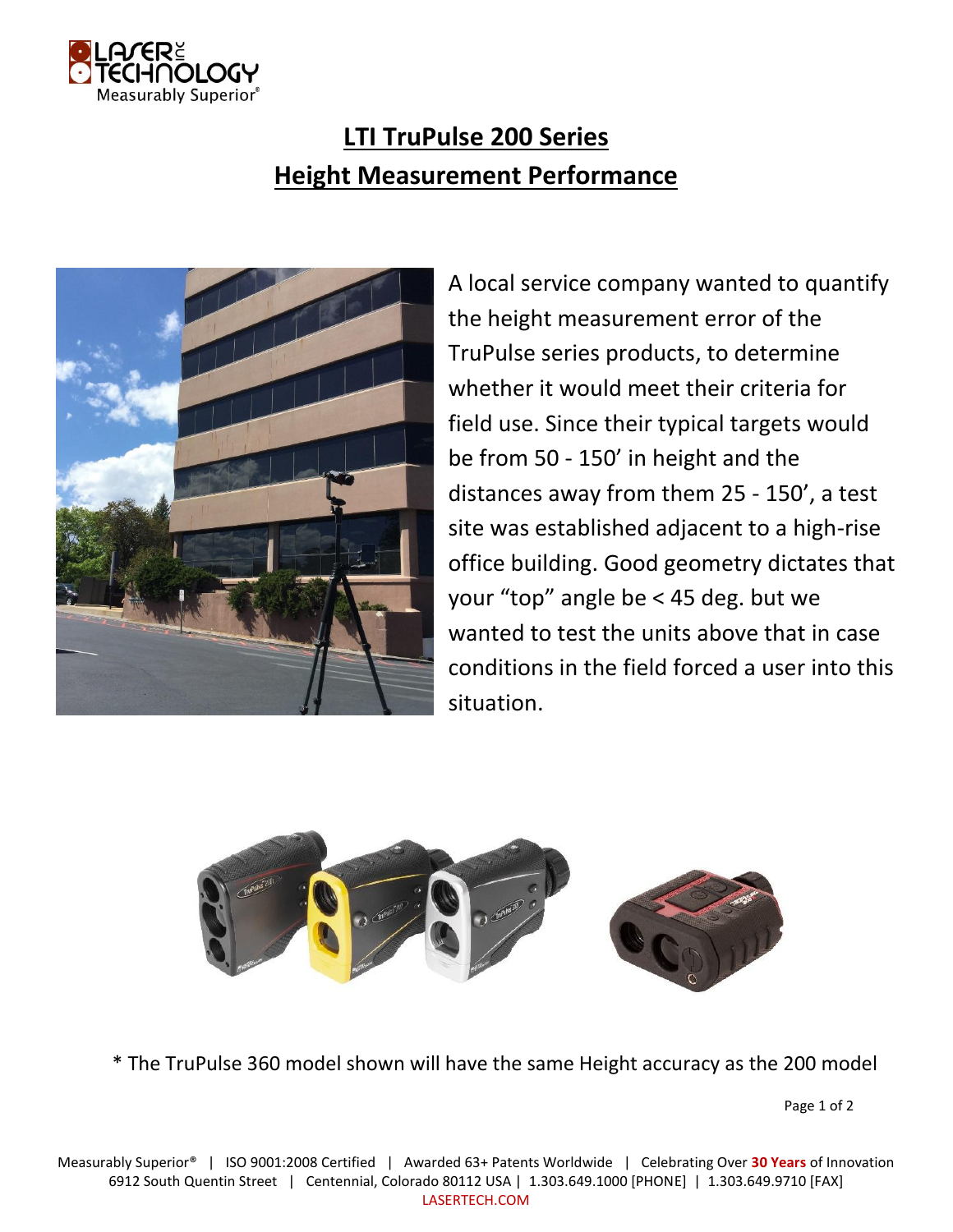

## **LTI TruPulse 200 Series Height Measurement Performance**



A local service company wanted to quantify the height measurement error of the TruPulse series products, to determine whether it would meet their criteria for field use. Since their typical targets would be from 50 - 150' in height and the distances away from them 25 - 150', a test site was established adjacent to a high-rise office building. Good geometry dictates that your "top" angle be < 45 deg. but we wanted to test the units above that in case conditions in the field forced a user into this situation.



\* The TruPulse 360 model shown will have the same Height accuracy as the 200 model

Page 1 of 2